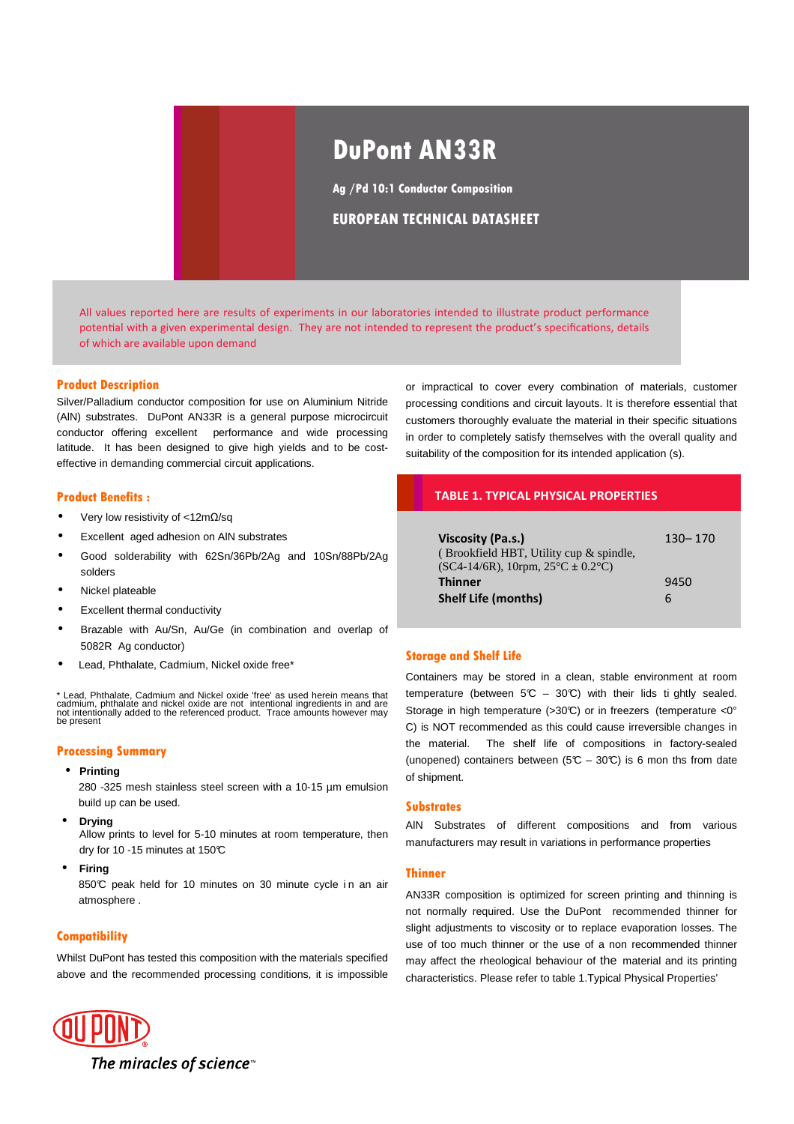# **DuPont AN33R**

**Ag /Pd 10:1 Conductor Composition**

## **EUROPEAN TECHNICAL DATASHEET**

All values reported here are results of experiments in our laboratories intended to illustrate product performance potential with a given experimental design. They are not intended to represent the product's specifications, details of which are available upon demand

#### **Product Description**

Silver/Palladium conductor composition for use on Aluminium Nitride (AlN) substrates. DuPont AN33R is a general purpose microcircuit conductor offering excellent performance and wide processing latitude. It has been designed to give high yields and to be costeffective in demanding commercial circuit applications.

#### **Product Benefits :**

- Very low resistivity of <12mΩ/sq
- Excellent aged adhesion on AlN substrates
- Good solderability with 62Sn/36Pb/2Ag and 10Sn/88Pb/2Ag solders
- Nickel plateable
- **Excellent thermal conductivity**
- Brazable with Au/Sn, Au/Ge (in combination and overlap of 5082R Ag conductor)
- Lead, Phthalate, Cadmium, Nickel oxide free\*

\* Lead, Phthalate, Cadmium and Nickel oxide 'free' as used herein means that<br>cadmium, phthalate and nickel oxide are not intentional ingredients in and are<br>not intentionally added to the referenced product. Trace amounts h be present

#### **Processing Summary**

• **Printing**

280 -325 mesh stainless steel screen with a 10-15 µm emulsion build up can be used.

• **Drying**

Allow prints to level for 5-10 minutes at room temperature, then dry for 10 -15 minutes at 150°C

• **Firing**

850°C peak held for 10 minutes on 30 minute cycle in an air atmosphere .

#### **Compatibility**

Whilst DuPont has tested this composition with the materials specified above and the recommended processing conditions, it is impossible



or impractical to cover every combination of materials, customer processing conditions and circuit layouts. It is therefore essential that customers thoroughly evaluate the material in their specific situations in order to completely satisfy themselves with the overall quality and suitability of the composition for its intended application (s).

## **TABLE 1. TYPICAL PHYSICAL PROPERTIES**

| Viscosity (Pa.s.)<br>(Brookfield HBT, Utility cup & spindle,<br>$SC4-14/6R$ , 10rpm, $25^{\circ}C \pm 0.2^{\circ}C$ ) | $130 - 170$ |
|-----------------------------------------------------------------------------------------------------------------------|-------------|
| <b>Thinner</b>                                                                                                        | 9450        |
| <b>Shelf Life (months)</b>                                                                                            | 6           |

## **Storage and Shelf Life**

Containers may be stored in a clean, stable environment at room temperature (between  $5C - 30C$ ) with their lids ti ghtly sealed. Storage in high temperature (>30°C) or in freezers (temperature <0° C) is NOT recommended as this could cause irreversible changes in the material. The shelf life of compositions in factory-sealed (unopened) containers between (5 $\mathbb{C}$  – 30 $\mathbb{C}$ ) is 6 mon ths from date of shipment.

#### **Substrates**

AlN Substrates of different compositions and from various manufacturers may result in variations in performance properties

#### **Thinner**

AN33R composition is optimized for screen printing and thinning is not normally required. Use the DuPont recommended thinner for slight adjustments to viscosity or to replace evaporation losses. The use of too much thinner or the use of a non recommended thinner may affect the rheological behaviour of the material and its printing characteristics. Please refer to table 1.Typical Physical Properties'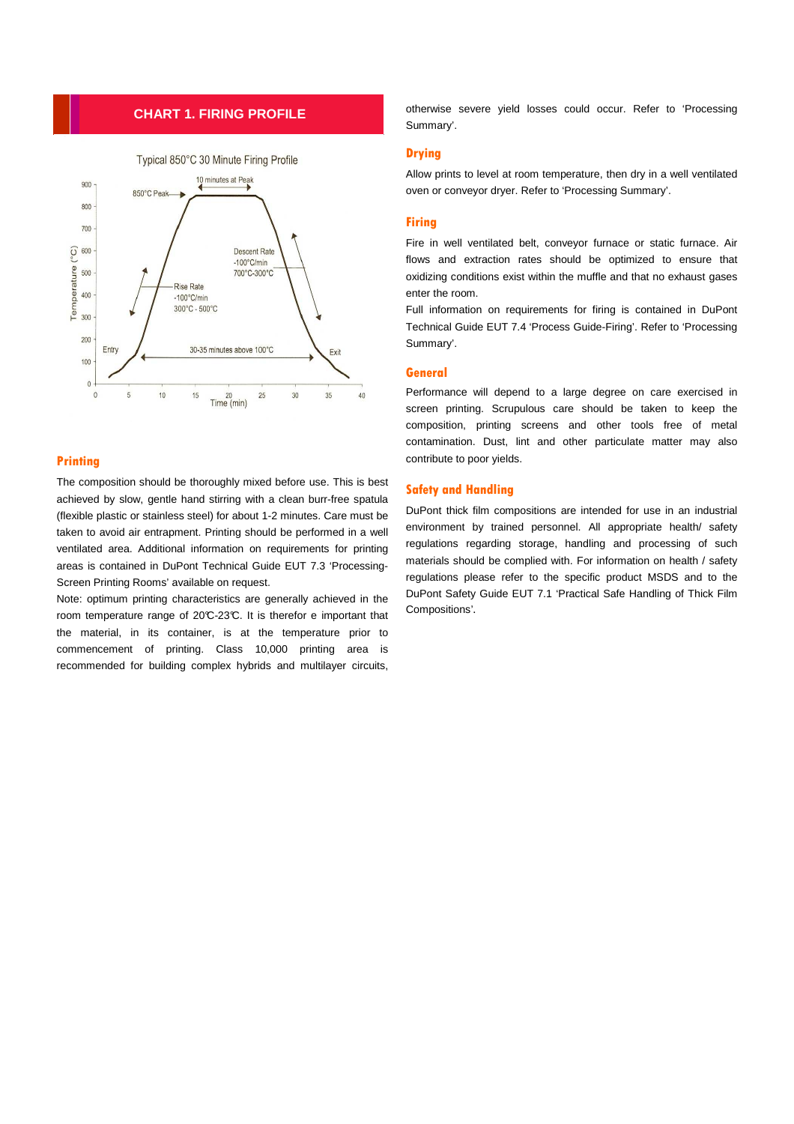## **CHART 1. FIRING PROFILE**



## **Printing**

The composition should be thoroughly mixed before use. This is best achieved by slow, gentle hand stirring with a clean burr-free spatula (flexible plastic or stainless steel) for about 1-2 minutes. Care must be taken to avoid air entrapment. Printing should be performed in a well ventilated area. Additional information on requirements for printing areas is contained in DuPont Technical Guide EUT 7.3 'Processing-Screen Printing Rooms' available on request.

Note: optimum printing characteristics are generally achieved in the room temperature range of 20°C-23°C. It is therefor e important that the material, in its container, is at the temperature prior to commencement of printing. Class 10,000 printing area is recommended for building complex hybrids and multilayer circuits,

otherwise severe yield losses could occur. Refer to 'Processing Summary'.

## **Drying**

Allow prints to level at room temperature, then dry in a well ventilated oven or conveyor dryer. Refer to 'Processing Summary'.

## **Firing**

Fire in well ventilated belt, conveyor furnace or static furnace. Air flows and extraction rates should be optimized to ensure that oxidizing conditions exist within the muffle and that no exhaust gases enter the room.

Full information on requirements for firing is contained in DuPont Technical Guide EUT 7.4 'Process Guide-Firing'. Refer to 'Processing Summary'.

## **General**

Performance will depend to a large degree on care exercised in screen printing. Scrupulous care should be taken to keep the composition, printing screens and other tools free of metal contamination. Dust, lint and other particulate matter may also contribute to poor yields.

## **Safety and Handling**

DuPont thick film compositions are intended for use in an industrial environment by trained personnel. All appropriate health/ safety regulations regarding storage, handling and processing of such materials should be complied with. For information on health / safety regulations please refer to the specific product MSDS and to the DuPont Safety Guide EUT 7.1 'Practical Safe Handling of Thick Film Compositions'.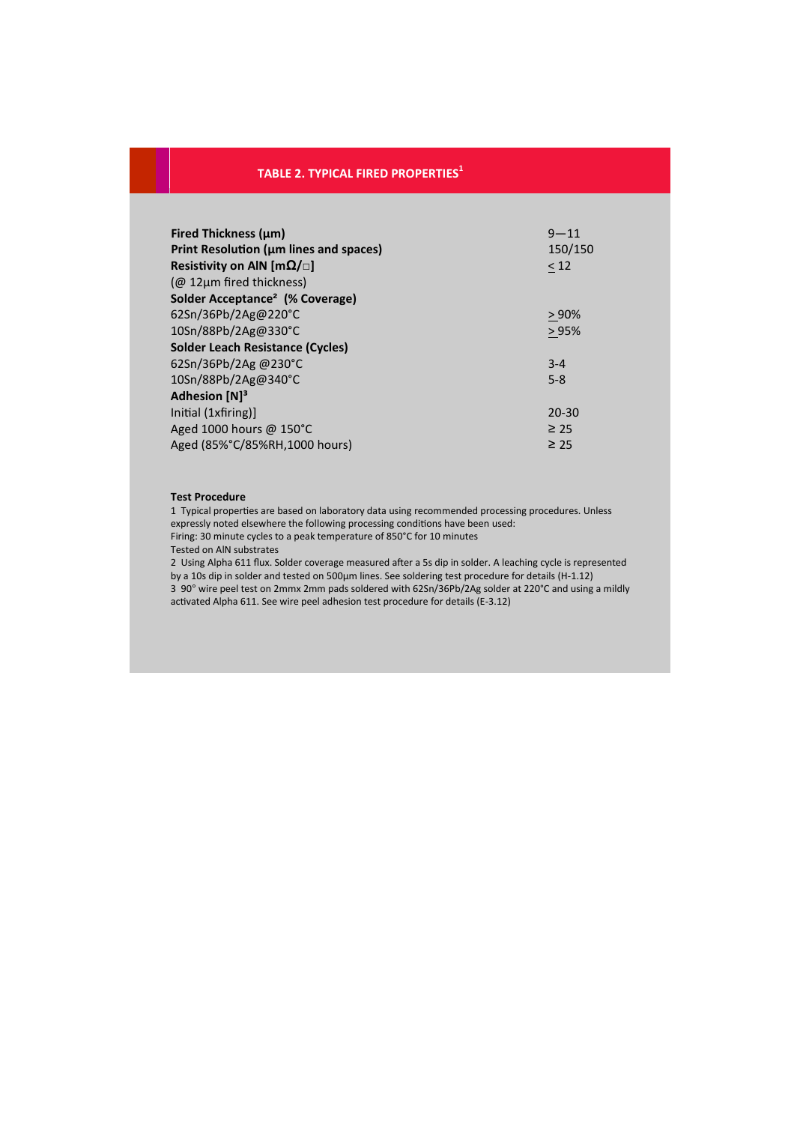# **TABLE 2. TYPICAL FIRED PROPERTIES<sup>1</sup>**

| <b>Fired Thickness (um)</b>                 | $9 - 11$  |
|---------------------------------------------|-----------|
| Print Resolution (µm lines and spaces)      | 150/150   |
| Resistivity on AIN [m $\Omega/\Box$ ]       | < 12      |
| ( $@$ 12µm fired thickness)                 |           |
| Solder Acceptance <sup>2</sup> (% Coverage) |           |
| 62Sn/36Pb/2Ag@220°C                         | > 90%     |
| 10Sn/88Pb/2Ag@330°C                         | >95%      |
| Solder Leach Resistance (Cycles)            |           |
| 62Sn/36Pb/2Ag @230°C                        | $3 - 4$   |
| 10Sn/88Pb/2Ag@340°C                         | $5 - 8$   |
| Adhesion [N] <sup>3</sup>                   |           |
| Initial (1xfiring)]                         | $20 - 30$ |
| Aged 1000 hours @ 150°C                     | $\geq 25$ |
| Aged (85%°C/85%RH,1000 hours)               | $\geq 25$ |

#### **Test Procedure**

1 Typical properties are based on laboratory data using recommended processing procedures. Unless expressly noted elsewhere the following processing conditions have been used: Firing: 30 minute cycles to a peak temperature of 850°C for 10 minutes

Tested on AlN substrates

2 Using Alpha 611 flux. Solder coverage measured after a 5s dip in solder. A leaching cycle is represented by a 10s dip in solder and tested on 500µm lines. See soldering test procedure for details (H-1.12) 3 90° wire peel test on 2mmx 2mm pads soldered with 62Sn/36Pb/2Ag solder at 220°C and using a mildly activated Alpha 611. See wire peel adhesion test procedure for details (E-3.12)